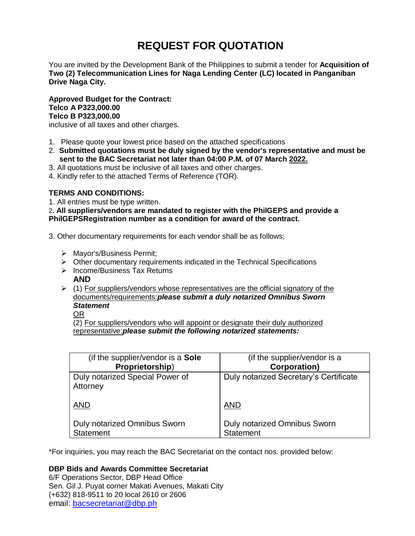# **REQUEST FOR QUOTATION**

You are invited by the Development Bank of the Philippines to submit a tender for **Acquisition of Two (2) Telecommunication Lines for Naga Lending Center (LC) located in Panganiban Drive Naga City.**

**Approved Budget for the Contract: Telco A P323,000.00 Telco B P323,000.00** inclusive of all taxes and other charges.

- 1. Please quote your lowest price based on the attached specifications
- 2. **Submitted quotations must be duly signed by the vendor's representative and must be sent to the BAC Secretariat not later than 04:00 P.M. of 07 March 2022.**
- 3. All quotations must be inclusive of all taxes and other charges.
- 4. Kindly refer to the attached Terms of Reference (TOR).

# **TERMS AND CONDITIONS:**

1. All entries must be type written.

2**. All suppliers/vendors are mandated to register with the PhilGEPS and provide a PhilGEPSRegistration number as a condition for award of the contract.**

- 3. Other documentary requirements for each vendor shall be as follows;
	- > Mayor's/Business Permit;
	- $\triangleright$  Other documentary requirements indicated in the Technical Specifications
	- $\triangleright$  Income/Business Tax Returns **AND**
	- $(1)$  For suppliers/vendors whose representatives are the official signatory of the documents/requirements:*please submit a duly notarized Omnibus Sworn Statement*

OR

(2) For suppliers/vendors who will appoint or designate their duly authorized representative:*please submit the following notarized statements:*

| (if the supplier/vendor is a Sole           | (if the supplier/vendor is a           |
|---------------------------------------------|----------------------------------------|
| Proprietorship)                             | <b>Corporation)</b>                    |
| Duly notarized Special Power of<br>Attorney | Duly notarized Secretary's Certificate |
| <b>AND</b>                                  | <b>AND</b>                             |
| <b>Duly notarized Omnibus Sworn</b>         | Duly notarized Omnibus Sworn           |
| <b>Statement</b>                            | <b>Statement</b>                       |

\*For inquiries, you may reach the BAC Secretariat on the contact nos. provided below:

# **DBP Bids and Awards Committee Secretariat**

6/F Operations Sector, DBP Head Office Sen. Gil J. Puyat corner Makati Avenues, Makati City (+632) 818-9511 to 20 local 2610 or 2606 email: [bacsecretariat@dbp.ph](mailto:bacsecretariat@dbp.ph)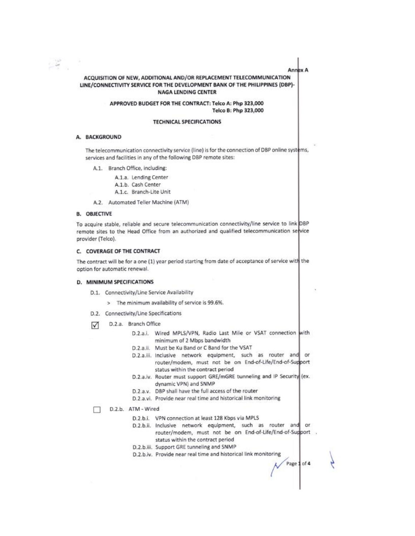**Annex A** 

### ACQUISITION OF NEW, ADDITIONAL AND/OR REPLACEMENT TELECOMMUNICATION LINE/CONNECTIVITY SERVICE FOR THE DEVELOPMENT BANK OF THE PHILIPPINES (DBP)-**NAGA LENDING CENTER**

APPROVED BUDGET FOR THE CONTRACT: Telco A: Php 323,000 Telco B: Php 323,000

### **TECHNICAL SPECIFICATIONS**

### A. BACKGROUND

 $-\frac{1}{2}$ 

The telecommunication connectivity service (line) is for the connection of DBP online systems, services and facilities in any of the following DBP remote sites:

A.1. Branch Office, including:

A.1.a. Lending Center A.1.b. Cash Center A.1.c. Branch-Lite Unit

A.2. Automated Teller Machine (ATM)

### **B. OBJECTIVE**

To acquire stable, reliable and secure telecommunication connectivity/line service to link DBP remote sites to the Head Office from an authorized and qualified telecommunication service provider (Telco).

# C. COVERAGE OF THE CONTRACT

The contract will be for a one (1) year period starting from date of acceptance of service with the option for automatic renewal.

#### D. MINIMUM SPECIFICATIONS

- D.1. Connectivity/Line Service Availability
	- > The minimum availability of service is 99.6%.
- D.2. Connectivity/Line Specifications
- D.2.a. Branch Office М
	- D.2.a.i. Wired MPLS/VPN, Radio Last Mile or VSAT connection with minimum of 2 Mbps bandwidth
	- D.2.a.ii. Must be Ku Band or C Band for the VSAT
	- D.2.a.iii. Inclusive network equipment, such as router and or router/modem, must not be on End-of-Life/End-of-Support status within the contract period
	- D.2.a.iv. Router must support GRE/mGRE tunneling and IP Security (ex. dynamic VPN) and SNMP
	- D.2.a.v. DBP shall have the full access of the router
	- D.2.a.vi. Provide near real time and historical link monitoring
	- D.2.b. ATM Wired п
		- D.2.b.i. VPN connection at least 128 Kbps via MPLS
		- D.2.b.ii. Inclusive network equipment, such as router and or router/modem, must not be on End-of-Life/End-of-Support . status within the contract period
		- D.2.b.iii. Support GRE tunneling and SNMP
		- D.2.b.iv. Provide near real time and historical link monitoring

Page 1 of 4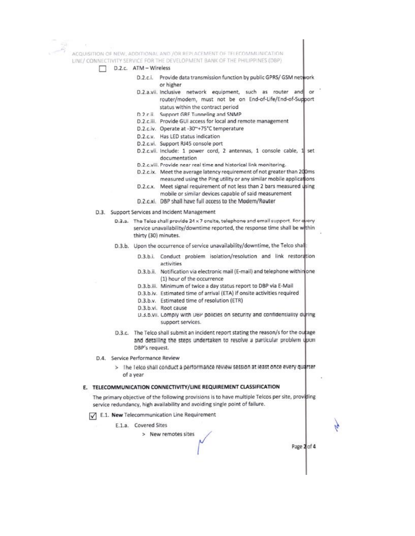ACQUISITION OF NEW, ADDITIONAL AND JOR REPLACEMENT OF TELECOMMUNICATION. LINE/ CONNECTIVITY SERVICE FOR THE DEVELOPMENT BANK OF THE PHILIPPINES (DBP).

- D.2.c. ATM Wireless
	- $D.2.c.1.$ Provide data transmission function by public GPRS/ GSM network or higher
	- D.2.a.vii. Inclusive network equipment, such as router and or router/modem, must not be on End-of-Life/End-of-Support status within the contract period
	- D.2.c.ii. Support GRE Tunneling and SNMP
	- D.2.c.iii. Provide GUI access for local and remote management
	- D.2.c.iv. Operate at -30~+75°C temperature
	- D.2.c.v. Has LED status indication
	- D.2.c.vi. Support RJ45 console port
	- D.2.c.vii. Include: 1 power cord, 2 antennas, 1 console cable, 1 set documentation
	- D.2.c.viii. Provide near real time and historical link monitoring.
	- D.2.c.ix. Meet the average latency requirement of not greater than 200ms measured using the Ping utility or any similar mobile applications
	- D.2.c.x. Meet signal requirement of not less than 2 bars measured using
	- mobile or similar devices capable of said measurement D.2.c.xi. DBP shall have full access to the Modem/Router
- D.3. Support Services and Incident Management
	- D.2.a. The Telco shall provide 24 x 7 onsite, telephone and email support. For every service unavailability/downtime reported, the response time shall be within thirty (30) minutes.
	- D.3.b. Upon the occurrence of service unavailability/downtime, the Telco shall:
		- D.3.b.i. Conduct problem isolation/resolution and link restoration activities
		- D.3.b.ii. Notification via electronic mail (E-mail) and telephone withinone (1) hour of the occurrence
		- D.3.b.iii. Minimum of twice a day status report to DBP via E-Mail
		- D.3.b.iv. Estimated time of arrival (ETA) if onsite activities required
		- D.3.b.v. Estimated time of resolution (ETR)
		- D.3.b.vi. Root cause
		- D.3.6.Vii. Lomply with UBP policies on security and confidentiality during support services.
	- D.3.c. The Telco shall submit an incident report stating the reason/s for the outage and detailing the steps undertaken to resolve a particular problem upon DBP's request.
- D.4. Service Performance Review
	- > The Telco shall conduct a performance review session at least once every quarter of a year

# E. TELECOMMUNICATION CONNECTIVITY/LINE REQUIREMENT CLASSIFICATION

The primary objective of the following provisions is to have multiple Telcos per site, providing service redundancy, high availability and avoiding single point of failure.

- E.1. New Telecommunication Line Requirement
	- E.1.a. Covered Sites
		- > New remotes sites

Page 2 of 4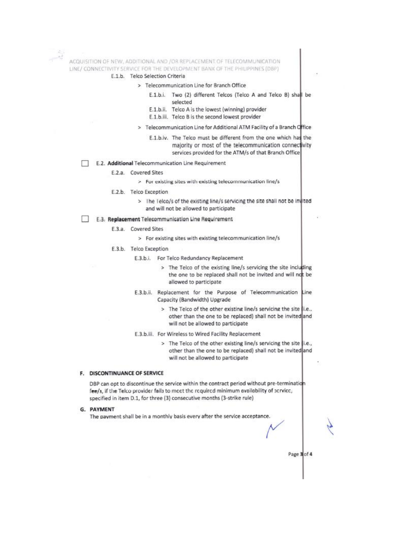ACQUISITION OF NEW, ADDITIONAL AND /OR REPLACEMENT OF TELECOMMUNICATION LINE/ CONNECTIVITY SERVICE FOR THE DEVELOPMENT BANK OF THE PHILIPPINES (DBP)

- E.1.b. Telco Selection Criteria
	- > Telecommunication Line for Branch Office
		- E.1.b.i. Two (2) different Telcos (Telco A and Telco B) shall be selected
		- E.1.b.ii. Telco A is the lowest (winning) provider
		- E.1.b.iii. Telco B is the second lowest provider
	- > Telecommunication Line for Additional ATM Facility of a Branch Office
		- E.1.b.iv. The Telco must be different from the one which has the majority or most of the telecommunication connectivity services provided for the ATM/s of that Branch Office
- E.2. Additional Telecommunication Line Requirement п

#### E.2.a. Covered Sites

- > For existing sites with existing telecommunication line/s
- E.2.b. Telco Exception
	- > The Telco/s of the existing line/s servicing the site shall not be invited and will not be allowed to participate

### E.3. Replacement Telecommunication Line Requirement

- E.3.a. Covered Sites
	- > For existing sites with existing telecommunication line/s
- E.3.b. Telco Exception
	- E.3.b.i. For Telco Redundancy Replacement
		- > The Telco of the existing line/s servicing the site including the one to be replaced shall not be invited and will not be allowed to participate
	- E.3.b.ii. Replacement for the Purpose of Telecommunication Line Capacity (Bandwidth) Upgrade
		- > The Telco of the other existing line/s servicing the site |i.e.. other than the one to be replaced) shall not be invited and will not be allowed to participate
	- E.3.b.iii. For Wireless to Wired Facility Replacement
		- > The Telco of the other existing line/s servicing the site i.e., other than the one to be replaced) shall not be invited and will not be allowed to participate

Page 3 of 4

#### F. DISCONTINUANCE OF SERVICE

DBP can opt to discontinue the service within the contract period without pre-termination fee/s, if the Telco provider fails to meet the required minimum availability of service, specified in item D.1, for three (3) consecutive months (3-strike rule)

### **G. PAYMENT**

The payment shall be in a monthly basis every after the service acceptance.